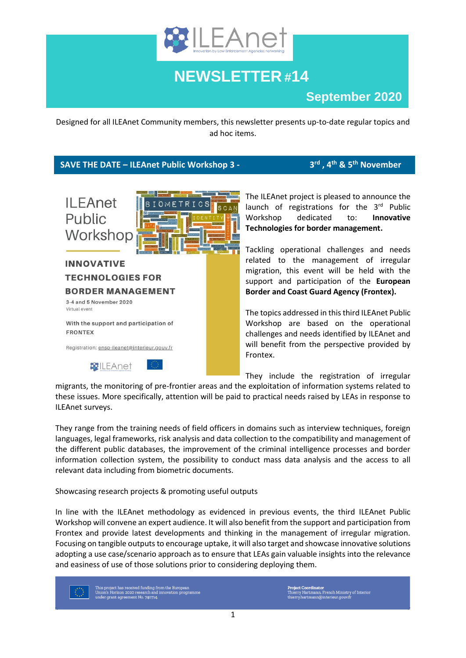

## **NEWSLETTER #14**

## **September 2020**

Designed for all ILEAnet Community members, this newsletter presents up-to-date regular topics and ad hoc items.

## **SAVE THE DATE – ILEAnet Public Workshop 3 - 3**

**rd , 4th & 5th November**



The ILEAnet project is pleased to announce the launch of registrations for the 3rd Public Workshop dedicated to: **Innovative Technologies for border management.**

Tackling operational challenges and needs related to the management of irregular migration, this event will be held with the support and participation of the **European Border and Coast Guard Agency (Frontex).**

The topics addressed in this third ILEAnet Public Workshop are based on the operational challenges and needs identified by ILEAnet and will benefit from the perspective provided by Frontex.

They include the registration of irregular migrants, the monitoring of pre-frontier areas and the exploitation of information systems related to these issues. More specifically, attention will be paid to practical needs raised by LEAs in response to ILEAnet surveys.

They range from the training needs of field officers in domains such as interview techniques, foreign languages, legal frameworks, risk analysis and data collection to the compatibility and management of the different public databases, the improvement of the criminal intelligence processes and border information collection system, the possibility to conduct mass data analysis and the access to all relevant data including from biometric documents.

Showcasing research projects & promoting useful outputs

In line with the ILEAnet methodology as evidenced in previous events, the third ILEAnet Public Workshop will convene an expert audience. It will also benefit from the support and participation from Frontex and provide latest developments and thinking in the management of irregular migration. Focusing on tangible outputs to encourage uptake, it will also target and showcase innovative solutions adopting a use case/scenario approach as to ensure that LEAs gain valuable insights into the relevance and easiness of use of those solutions prior to considering deploying them.

is project has received funding from the European<br>iion's Horizon 2020 research and innovation programme<br>der grant agreement No. 740714.

Project Coordinator<br>Thierry Hartmann, French Ministry of Interior<br>hierry.hartmann@interieur.gouv.fr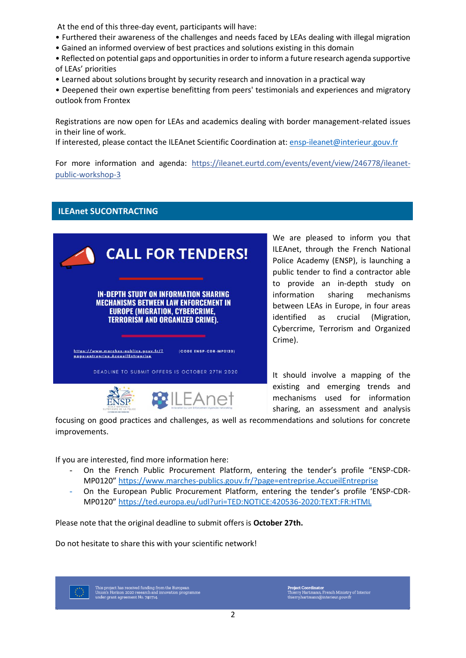At the end of this three-day event, participants will have:

- Furthered their awareness of the challenges and needs faced by LEAs dealing with illegal migration
- Gained an informed overview of best practices and solutions existing in this domain
- Reflected on potential gaps and opportunities in order to inform a future research agenda supportive of LEAs' priorities
- Learned about solutions brought by security research and innovation in a practical way

• Deepened their own expertise benefitting from peers' testimonials and experiences and migratory outlook from Frontex

Registrations are now open for LEAs and academics dealing with border management-related issues in their line of work.

If interested, please contact the ILEAnet Scientific Coordination at: [ensp-ileanet@interieur.gouv.fr](mailto:ensp-ileanet@interieur.gouv.fr)

For more information and agenda: [https://ileanet.eurtd.com/events/event/view/246778/ileanet](https://ileanet.eurtd.com/events/event/view/246778/ileanet-public-workshop-3)[public-workshop-3](https://ileanet.eurtd.com/events/event/view/246778/ileanet-public-workshop-3)

## **ILEAnet SUCONTRACTING**



We are pleased to inform you that ILEAnet, through the French National Police Academy (ENSP), is launching a public tender to find a contractor able to provide an in-depth study on information sharing mechanisms between LEAs in Europe, in four areas identified as crucial (Migration, Cybercrime, Terrorism and Organized Crime).

It should involve a mapping of the existing and emerging trends and mechanisms used for information sharing, an assessment and analysis

focusing on good practices and challenges, as well as recommendations and solutions for concrete improvements.

If you are interested, find more information here:

- On the French Public Procurement Platform, entering the tender's profile "ENSP-CDR-MP0120" <https://www.marches-publics.gouv.fr/?page=entreprise.AccueilEntreprise>
- On the European Public Procurement Platform, entering the tender's profile 'ENSP-CDR-MP0120" <https://ted.europa.eu/udl?uri=TED:NOTICE:420536-2020:TEXT:FR:HTML>

Please note that the original deadline to submit offers is **October 27th.**

Do not hesitate to share this with your scientific network!



This project has received funding from the European<br>Union's Horizon 2020 research and innovation programme<br>under grant agreement No. 740714.

Project Coordinator<br>Thierry Hartmann, French Ministry of Interior<br>thierry.hartmann@interieur.gouv.fr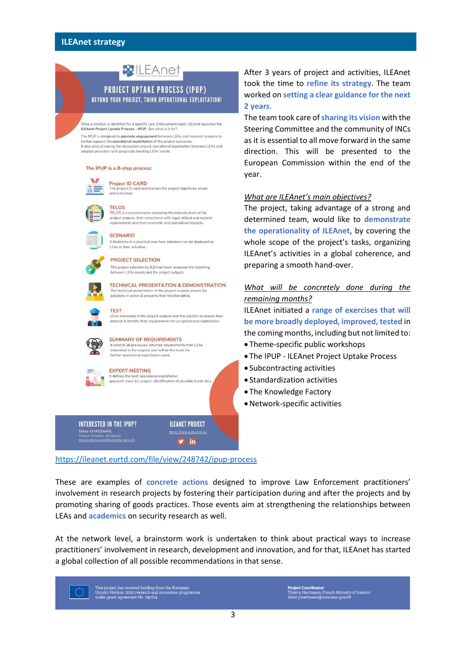# **XILEAnet**

## **PROJECT UPTAKE PROCESS (IPUP)** BEYOND YOUR PROJECT, THINK OPERATIONAL EXPLOITATION!

olution is identified for a specific Law Enforcement need, ILEAnet launches the ILEAnet Project Uptake Process - IPUP. But what is it for?

The IPUP is designed to promote engagement between LEAs and research projects to further support the operational exploitation of the project outcomes It also aims at easing the discussion around operational exploitation between LEAs and also alms at easing the discussion around operational

#### The IPUP is a 8-step process:



**Project ID CARD** The project ID<br>and outcomes. card summarizes the project objectives, scope

#### **TELOS**

TELOS is a questionnaire assessing the maturity level of the project outputs, their compliance with legal, ethical and societal requirements and their economic and operational impacts.

#### **SCENARIO**

**TEST** 

It illustrates in a practical way how solutions can be deployed by LEAs in their activities.

#### **PROJECT SELECTION**

The project selection by ILEAnet team assesses the matching between LEAs needs and the project outputs.



**TECHNICAL PRESENTATION & DEMONSTRATION** The technical presentation of the project outputs shows the solutions in action & presents their functionalities



LEAs interes sted in the project outputs test the solution to assess their interest & identify their requirements for an operational exploitation

#### **SUMMARY OF REQUIREMENTS** It collects all previously returned requirements from LEAs

interested in the outputs and will be the basis for further operational exploitation worl

**EXPERT MEETING** It defines the best operational exploitation

approach (new EU project, identification of possible funds etc.)

**INTERESTED IN THE IPUP?** <mark>oïse CHASSAING</mark><br>ench Ministry of Interior<br>oise.chassaing@interieur.gouv.fr

**ILEANET PROJECT** ¥. lin

After 3 years of project and activities, ILEAnet took the time to **refine its strategy**. The team worked on **setting a clear guidance for the next 2 years**.

The team took care of **sharing its vision** with the Steering Committee and the community of INCs as it is essential to all move forward in the same direction. This will be presented to the European Commission within the end of the year.

### *What are ILEAnet's main objectives?*

The project, taking advantage of a strong and determined team, would like to **demonstrate the operationality of ILEAnet**, by covering the whole scope of the project's tasks, organizing ILEAnet's activities in a global coherence, and preparing a smooth hand-over.

## *What will be concretely done during the remaining months?*

ILEAnet initiated a **range of exercises that will be more broadly deployed, improved, tested** in the coming months, including but not limited to:

- Theme-specific public workshops
- The IPUP ILEAnet Project Uptake Process
- Subcontracting activities
- Standardization activities
- The Knowledge Factory
- Network-specific activities

<https://ileanet.eurtd.com/file/view/248742/ipup-process>

These are examples of **concrete actions** designed to improve Law Enforcement practitioners' involvement in research projects by fostering their participation during and after the projects and by promoting sharing of goods practices. Those events aim at strengthening the relationships between LEAs and **academics** on security research as well.

At the network level, a brainstorm work is undertaken to think about practical ways to increase practitioners' involvement in research, development and innovation, and for that, ILEAnet has started a global collection of all possible recommendations in that sense.



This project has received funding from the European<br>Union's Horizon 2020 research and innovation programme<br>under grant agreement No. 740714.

Project Coordinator<br>Thierry Hartmann, French Ministry of Interior<br>thierry.hartmann@interieur.gouv.fr